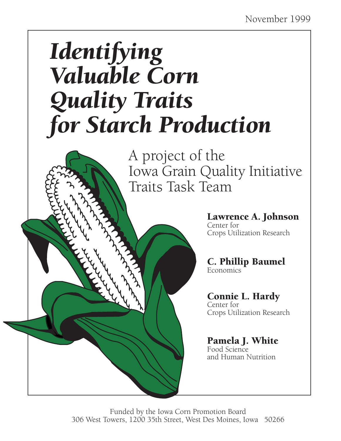# *Identifying Valuable Corn Quality Traits for Starch Production*

A project of the Iowa Grain Quality Initiative Traits Task Team



Lawrence A. Johnson Center for Crops Utilization Research

C. Phillip Baumel Economics

#### Connie L. Hardy Center for

Crops Utilization Research

Pamela J. White Food Science and Human Nutrition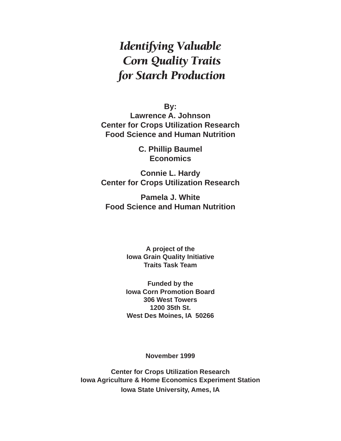## *Identifying Valuable Corn Quality Traits for Starch Production*

**By:**

**Lawrence A. Johnson Center for Crops Utilization Research Food Science and Human Nutrition**

> **C. Phillip Baumel Economics**

**Connie L. Hardy Center for Crops Utilization Research**

**Pamela J. White Food Science and Human Nutrition**

> **A project of the Iowa Grain Quality Initiative Traits Task Team**

> **Funded by the Iowa Corn Promotion Board 306 West Towers 1200 35th St. West Des Moines, IA 50266**

> > **November 1999**

**Center for Crops Utilization Research Iowa Agriculture & Home Economics Experiment Station Iowa State University, Ames, IA**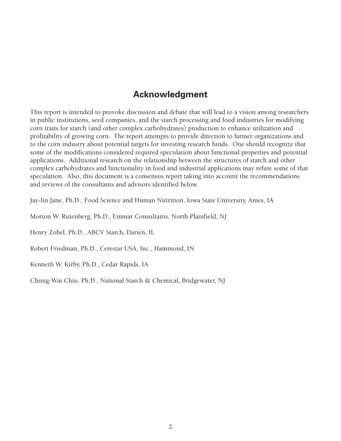## **Acknowledgment**

This report is intended to provoke discussion and debate that will lead to a vision among researchers in public institutions, seed companies, and the starch processing and food industries for modifying corn traits for starch (and other complex carbohydrates) production to enhance utilization and profitability of growing corn. The report attempts to provide direction to farmer organizations and to the corn industry about potential targets for investing research funds. One should recognize that some of the modifications considered required speculation about functional properties and potential applications. Additional research on the relationship between the structures of starch and other complex carbohydrates and functionality in food and industrial applications may refute some of that speculation. Also, this document is a consensus report taking into account the recommendations and reviews of the consultants and advisors identified below.

Jay-lin Jane, Ph.D., Food Science and Human Nutrition, Iowa State University, Ames, IA

Morton W. Rutenberg, Ph.D., Emmar Consultants, North Plainfield, NJ

Henry Zobel, Ph.D., ABCV Starch, Darien, IL

Robert Friedman, Ph.D., Cerestar USA, Inc., Hammond, IN

Kenneth W. Kirby, Ph.D., Cedar Rapids, IA

Chung-Wai Chiu, Ph.D., National Starch & Chemical, Bridgewater, NJ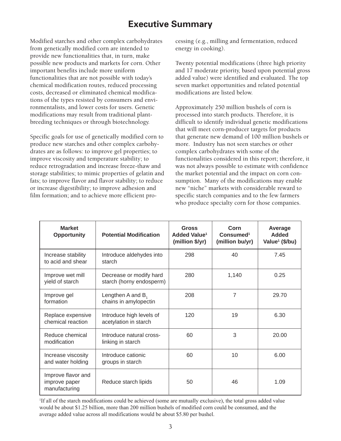## **Executive Summary**

Modified starches and other complex carbohydrates from genetically modified corn are intended to provide new functionalities that, in turn, make possible new products and markets for corn. Other important benefits include more uniform functionalities that are not possible with today's chemical modification routes, reduced processing costs, decreased or eliminated chemical modifications of the types resisted by consumers and environmentalists, and lower costs for users. Genetic modifications may result from traditional plantbreeding techniques or through biotechnology.

Specific goals for use of genetically modified corn to produce new starches and other complex carbohydrates are as follows: to improve gel properties; to improve viscosity and temperature stability; to reduce retrogradation and increase freeze-thaw and storage stabilities; to mimic properties of gelatin and fats; to improve flavor and flavor stability; to reduce or increase digestibility; to improve adhesion and film formation; and to achieve more efficient processing (e.g., milling and fermentation, reduced energy in cooking).

Twenty potential modifications (three high priority and 17 moderate priority, based upon potential gross added value) were identified and evaluated. The top seven market opportunities and related potential modifications are listed below.

Approximately 250 million bushels of corn is processed into starch products. Therefore, it is difficult to identify individual genetic modifications that will meet corn-producer targets for products that generate new demand of 100 million bushels or more. Industry has not seen starches or other complex carbohydrates with some of the functionalities considered in this report; therefore, it was not always possible to estimate with confidence the market potential and the impact on corn consumption. Many of the modifications may enable new "niche" markets with considerable reward to specific starch companies and to the few farmers who produce specialty corn for those companies.

| <b>Market</b><br><b>Opportunity</b>                  | <b>Potential Modification</b>                       | <b>Gross</b><br>Added Value <sup>1</sup><br>(million \$/yr) | Corn<br>Consumed <sup>1</sup><br>(million bu/yr) | Average<br><b>Added</b><br>Value <sup>1</sup> (\$/bu) |
|------------------------------------------------------|-----------------------------------------------------|-------------------------------------------------------------|--------------------------------------------------|-------------------------------------------------------|
| Increase stability<br>to acid and shear              | Introduce aldehydes into<br>starch                  | 298                                                         | 40                                               | 7.45                                                  |
| Improve wet mill<br>yield of starch                  | Decrease or modify hard<br>starch (horny endosperm) | 280                                                         | 1,140                                            | 0.25                                                  |
| Improve gel<br>formation                             | Lengthen A and B,<br>chains in amylopectin          | 208                                                         | 7                                                | 29.70                                                 |
| Replace expensive<br>chemical reaction               | Introduce high levels of<br>acetylation in starch   | 120                                                         | 19                                               | 6.30                                                  |
| Reduce chemical<br>modification                      | Introduce natural cross-<br>linking in starch       | 60                                                          | 3                                                | 20.00                                                 |
| Increase viscosity<br>and water holding              | Introduce cationic<br>groups in starch              | 60                                                          | 10                                               | 6.00                                                  |
| Improve flavor and<br>improve paper<br>manufacturing | Reduce starch lipids                                | 50                                                          | 46                                               | 1.09                                                  |

1 If all of the starch modifications could be achieved (some are mutually exclusive), the total gross added value would be about \$1.25 billion, more than 200 million bushels of modified corn could be consumed, and the average added value across all modifications would be about \$5.80 per bushel.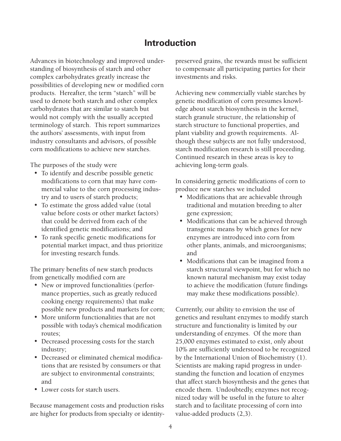## **Introduction**

Advances in biotechnology and improved understanding of biosynthesis of starch and other complex carbohydrates greatly increase the possibilities of developing new or modified corn products. Hereafter, the term "starch" will be used to denote both starch and other complex carbohydrates that are similar to starch but would not comply with the usually accepted terminology of starch. This report summarizes the authors' assessments, with input from industry consultants and advisors, of possible corn modifications to achieve new starches.

The purposes of the study were

- To identify and describe possible genetic modifications to corn that may have commercial value to the corn processing industry and to users of starch products;
- To estimate the gross added value (total value before costs or other market factors) that could be derived from each of the identified genetic modifications; and
- To rank specific genetic modifications for potential market impact, and thus prioritize for investing research funds.

The primary benefits of new starch products from genetically modified corn are

- New or improved functionalities (performance properties, such as greatly reduced cooking energy requirements) that make possible new products and markets for corn;
- More uniform functionalities that are not possible with today's chemical modification routes;
- Decreased processing costs for the starch industry;
- Decreased or eliminated chemical modifications that are resisted by consumers or that are subject to environmental constraints; and
- Lower costs for starch users.

Because management costs and production risks are higher for products from specialty or identitypreserved grains, the rewards must be sufficient to compensate all participating parties for their investments and risks.

Achieving new commercially viable starches by genetic modification of corn presumes knowledge about starch biosynthesis in the kernel, starch granule structure, the relationship of starch structure to functional properties, and plant viability and growth requirements. Although these subjects are not fully understood, starch modification research is still proceeding. Continued research in these areas is key to achieving long-term goals.

In considering genetic modifications of corn to produce new starches we included

- Modifications that are achievable through traditional and mutation breeding to alter gene expression;
- Modifications that can be achieved through transgenic means by which genes for new enzymes are introduced into corn from other plants, animals, and microorganisms; and
- Modifications that can be imagined from a starch structural viewpoint, but for which no known natural mechanism may exist today to achieve the modification (future findings may make these modifications possible).

Currently, our ability to envision the use of genetics and resultant enzymes to modify starch structure and functionality is limited by our understanding of enzymes. Of the more than 25,000 enzymes estimated to exist, only about 10% are sufficiently understood to be recognized by the International Union of Biochemistry (1). Scientists are making rapid progress in understanding the function and location of enzymes that affect starch biosynthesis and the genes that encode them. Undoubtedly, enzymes not recognized today will be useful in the future to alter starch and to facilitate processing of corn into value-added products (2,3).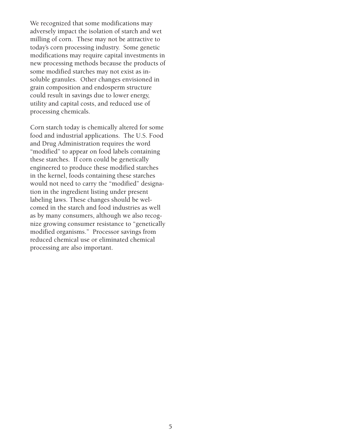We recognized that some modifications may adversely impact the isolation of starch and wet milling of corn. These may not be attractive to today's corn processing industry. Some genetic modifications may require capital investments in new processing methods because the products of some modified starches may not exist as insoluble granules. Other changes envisioned in grain composition and endosperm structure could result in savings due to lower energy, utility and capital costs, and reduced use of processing chemicals.

Corn starch today is chemically altered for some food and industrial applications. The U.S. Food and Drug Administration requires the word "modified" to appear on food labels containing these starches. If corn could be genetically engineered to produce these modified starches in the kernel, foods containing these starches would not need to carry the "modified" designation in the ingredient listing under present labeling laws. These changes should be welcomed in the starch and food industries as well as by many consumers, although we also recognize growing consumer resistance to "genetically modified organisms." Processor savings from reduced chemical use or eliminated chemical processing are also important.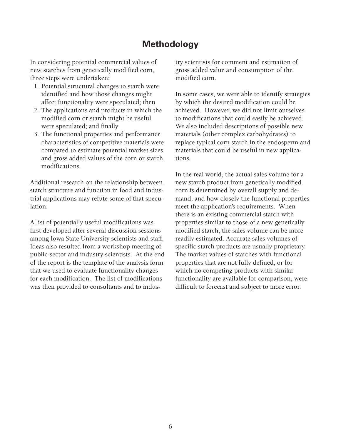## **Methodology**

In considering potential commercial values of new starches from genetically modified corn, three steps were undertaken:

- 1. Potential structural changes to starch were identified and how those changes might affect functionality were speculated; then
- 2. The applications and products in which the modified corn or starch might be useful were speculated; and finally
- 3. The functional properties and performance characteristics of competitive materials were compared to estimate potential market sizes and gross added values of the corn or starch modifications.

Additional research on the relationship between starch structure and function in food and industrial applications may refute some of that speculation.

A list of potentially useful modifications was first developed after several discussion sessions among Iowa State University scientists and staff. Ideas also resulted from a workshop meeting of public-sector and industry scientists. At the end of the report is the template of the analysis form that we used to evaluate functionality changes for each modification. The list of modifications was then provided to consultants and to industry scientists for comment and estimation of gross added value and consumption of the modified corn.

In some cases, we were able to identify strategies by which the desired modification could be achieved. However, we did not limit ourselves to modifications that could easily be achieved. We also included descriptions of possible new materials (other complex carbohydrates) to replace typical corn starch in the endosperm and materials that could be useful in new applications.

In the real world, the actual sales volume for a new starch product from genetically modified corn is determined by overall supply and demand, and how closely the functional properties meet the application's requirements. When there is an existing commercial starch with properties similar to those of a new genetically modified starch, the sales volume can be more readily estimated. Accurate sales volumes of specific starch products are usually proprietary. The market values of starches with functional properties that are not fully defined, or for which no competing products with similar functionality are available for comparison, were difficult to forecast and subject to more error.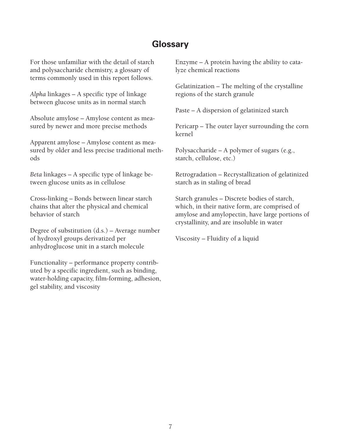## **Glossary**

For those unfamiliar with the detail of starch and polysaccharide chemistry, a glossary of terms commonly used in this report follows.

*Alpha* linkages – A specific type of linkage between glucose units as in normal starch

Absolute amylose – Amylose content as measured by newer and more precise methods

Apparent amylose – Amylose content as measured by older and less precise traditional methods

*Beta* linkages – A specific type of linkage between glucose units as in cellulose

Cross-linking – Bonds between linear starch chains that alter the physical and chemical behavior of starch

Degree of substitution (d.s.) – Average number of hydroxyl groups derivatized per anhydroglucose unit in a starch molecule

Functionality – performance property contributed by a specific ingredient, such as binding, water-holding capacity, film-forming, adhesion, gel stability, and viscosity

Enzyme – A protein having the ability to catalyze chemical reactions

Gelatinization – The melting of the crystalline regions of the starch granule

Paste – A dispersion of gelatinized starch

Pericarp – The outer layer surrounding the corn kernel

Polysaccharide – A polymer of sugars (e.g., starch, cellulose, etc.)

Retrogradation – Recrystallization of gelatinized starch as in staling of bread

Starch granules – Discrete bodies of starch, which, in their native form, are comprised of amylose and amylopectin, have large portions of crystallinity, and are insoluble in water

Viscosity – Fluidity of a liquid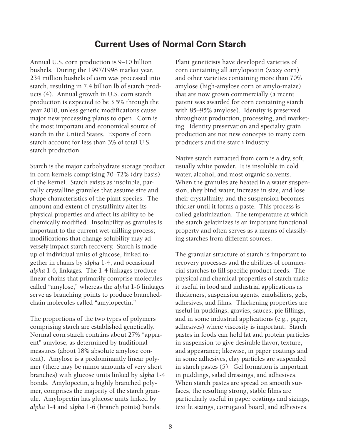## **Current Uses of Normal Corn Starch**

Annual U.S. corn production is 9–10 billion bushels. During the 1997/1998 market year, 234 million bushels of corn was processed into starch, resulting in 7.4 billion lb of starch products (4). Annual growth in U.S. corn starch production is expected to be 3.5% through the year 2010, unless genetic modifications cause major new processing plants to open. Corn is the most important and economical source of starch in the United States. Exports of corn starch account for less than 3% of total U.S. starch production.

Starch is the major carbohydrate storage product in corn kernels comprising 70–72% (dry basis) of the kernel. Starch exists as insoluble, partially crystalline granules that assume size and shape characteristics of the plant species. The amount and extent of crystallinity alter its physical properties and affect its ability to be chemically modified. Insolubility as granules is important to the current wet-milling process; modifications that change solubility may adversely impact starch recovery. Starch is made up of individual units of glucose, linked together in chains by *alpha* 1-4, and occasional *alpha* 1-6, linkages. The 1-4 linkages produce linear chains that primarily comprise molecules called "amylose," whereas the *alpha* 1-6 linkages serve as branching points to produce branchedchain molecules called "amylopectin."

The proportions of the two types of polymers comprising starch are established genetically. Normal corn starch contains about 27% "apparent" amylose, as determined by traditional measures (about 18% absolute amylose content). Amylose is a predominantly linear polymer (there may be minor amounts of very short branches) with glucose units linked by *alpha* 1-4 bonds. Amylopectin, a highly branched polymer, comprises the majority of the starch granule. Amylopectin has glucose units linked by *alpha* 1-4 and *alpha* 1-6 (branch points) bonds.

Plant geneticists have developed varieties of corn containing all amylopectin (waxy corn) and other varieties containing more than 70% amylose (high-amylose corn or amylo-maize) that are now grown commercially (a recent patent was awarded for corn containing starch with 85–95% amylose). Identity is preserved throughout production, processing, and marketing. Identity preservation and specialty grain production are not new concepts to many corn producers and the starch industry.

Native starch extracted from corn is a dry, soft, usually white powder. It is insoluble in cold water, alcohol, and most organic solvents. When the granules are heated in a water suspension, they bind water, increase in size, and lose their crystallinity, and the suspension becomes thicker until it forms a paste. This process is called gelatinization. The temperature at which the starch gelatinizes is an important functional property and often serves as a means of classifying starches from different sources.

The granular structure of starch is important to recovery processes and the abilities of commercial starches to fill specific product needs. The physical and chemical properties of starch make it useful in food and industrial applications as thickeners, suspension agents, emulsifiers, gels, adhesives, and films. Thickening properties are useful in puddings, gravies, sauces, pie fillings, and in some industrial applications (e.g., paper, adhesives) where viscosity is important. Starch pastes in foods can hold fat and protein particles in suspension to give desirable flavor, texture, and appearance; likewise, in paper coatings and in some adhesives, clay particles are suspended in starch pastes (5). Gel formation is important in puddings, salad dressings, and adhesives. When starch pastes are spread on smooth surfaces, the resulting strong, stable films are particularly useful in paper coatings and sizings, textile sizings, corrugated board, and adhesives.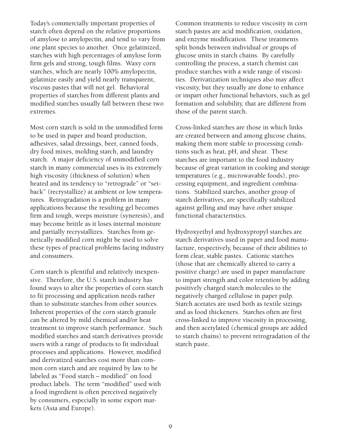Today's commercially important properties of starch often depend on the relative proportions of amylose to amylopectin, and tend to vary from one plant species to another. Once gelatinized, starches with high percentages of amylose form firm gels and strong, tough films. Waxy corn starches, which are nearly 100% amylopectin, gelatinize easily and yield nearly transparent, viscous pastes that will not gel. Behavioral properties of starches from different plants and modified starches usually fall between these two extremes.

Most corn starch is sold in the unmodified form to be used in paper and board production, adhesives, salad dressings, beer, canned foods, dry food mixes, molding starch, and laundry starch. A major deficiency of unmodified corn starch in many commercial uses is its extremely high viscosity (thickness of solution) when heated and its tendency to "retrograde" or "setback" (recrystallize) at ambient or low temperatures. Retrogradation is a problem in many applications because the resulting gel becomes firm and tough, weeps moisture (syneresis), and may become brittle as it loses internal moisture and partially recrystallizes. Starches from genetically modified corn might be used to solve these types of practical problems facing industry and consumers.

Corn starch is plentiful and relatively inexpensive. Therefore, the U.S. starch industry has found ways to alter the properties of corn starch to fit processing and application needs rather than to substitute starches from other sources. Inherent properties of the corn starch granule can be altered by mild chemical and/or heat treatment to improve starch performance. Such modified starches and starch derivatives provide users with a range of products to fit individual processes and applications. However, modified and derivatized starches cost more than common corn starch and are required by law to be labeled as "Food starch – modified" on food product labels. The term "modified" used with a food ingredient is often perceived negatively by consumers, especially in some export markets (Asia and Europe).

Common treatments to reduce viscosity in corn starch pastes are acid modification, oxidation, and enzyme modification. These treatments split bonds between individual or groups of glucose units in starch chains. By carefully controlling the process, a starch chemist can produce starches with a wide range of viscosities. Derivatization techniques also may affect viscosity, but they usually are done to enhance or impart other functional behaviors, such as gel formation and solubility, that are different from those of the parent starch.

Cross-linked starches are those in which links are created between and among glucose chains, making them more stable to processing conditions such as heat, pH, and shear. These starches are important to the food industry because of great variation in cooking and storage temperatures (e.g., microwavable foods), processing equipment, and ingredient combinations. Stabilized starches, another group of starch derivatives, are specifically stabilized against gelling and may have other unique functional characteristics.

Hydroxyethyl and hydroxypropyl starches are starch derivatives used in paper and food manufacture, respectively, because of their abilities to form clear, stable pastes. Cationic starches (those that are chemically altered to carry a positive charge) are used in paper manufacture to impart strength and color retention by adding positively charged starch molecules to the negatively charged cellulose in paper pulp. Starch acetates are used both as textile sizings and as food thickeners. Starches often are first cross-linked to improve viscosity in processing, and then acetylated (chemical groups are added to starch chains) to prevent retrogradation of the starch paste.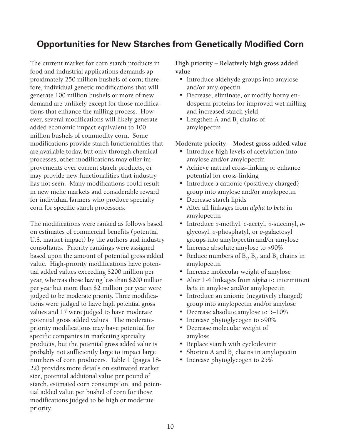## **Opportunities for New Starches from Genetically Modified Corn**

The current market for corn starch products in food and industrial applications demands approximately 250 million bushels of corn; therefore, individual genetic modifications that will generate 100 million bushels or more of new demand are unlikely except for those modifications that enhance the milling process. However, several modifications will likely generate added economic impact equivalent to 100 million bushels of commodity corn. Some modifications provide starch functionalities that are available today, but only through chemical processes; other modifications may offer improvements over current starch products, or may provide new functionalities that industry has not seen. Many modifications could result in new niche markets and considerable reward for individual farmers who produce specialty corn for specific starch processors.

The modifications were ranked as follows based on estimates of commercial benefits (potential U.S. market impact) by the authors and industry consultants. Priority rankings were assigned based upon the amount of potential gross added value. High-priority modifications have potential added values exceeding \$200 million per year, whereas those having less than \$200 million per year but more than \$2 million per year were judged to be moderate priority. Three modifications were judged to have high potential gross values and 17 were judged to have moderate potential gross added values. The moderatepriority modifications may have potential for specific companies in marketing specialty products, but the potential gross added value is probably not sufficiently large to impact large numbers of corn producers. Table 1 (pages 18- 22) provides more details on estimated market size, potential additional value per pound of starch, estimated corn consumption, and potential added value per bushel of corn for those modifications judged to be high or moderate priority.

**High priority – Relatively high gross added value**

- Introduce aldehyde groups into amylose and/or amylopectin
- Decrease, eliminate, or modify horny endosperm proteins for improved wet milling and increased starch yield
- Lengthen A and  $B_1$  chains of amylopectin

#### **Moderate priority – Modest gross added value**

- Introduce high levels of acetylation into amylose and/or amylopectin
- Achieve natural cross-linking or enhance potential for cross-linking
- Introduce a cationic (positively charged) group into amylose and/or amylopectin
- Decrease starch lipids
- Alter all linkages from *alpha* to *beta* in amylopectin
- Introduce *o*-methyl, *o*-acetyl, *o*-succinyl, *o*glycosyl, *o*-phosphatyl, or *o*-galactosyl groups into amylopectin and/or amylose
- Increase absolute amylose to >90%
- Reduce numbers of  $B_2$ ,  $B_3$ , and  $B_4$  chains in amylopectin
- Increase molecular weight of amylose
- Alter 1-4 linkages from *alpha* to intermittent *beta* in amylose and/or amylopectin
- Introduce an anionic (negatively charged) group into amylopectin and/or amylose
- Decrease absolute amylose to 5–10%
- Increase phytoglycogen to >90%
- Decrease molecular weight of amylose
- Replace starch with cyclodextrin
- Shorten A and  $B_1$  chains in amylopectin
- Increase phytoglycogen to 25%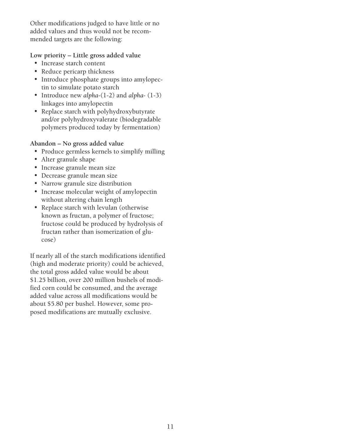Other modifications judged to have little or no added values and thus would not be recommended targets are the following:

### **Low priority – Little gross added value**

- Increase starch content
- Reduce pericarp thickness
- Introduce phosphate groups into amylopectin to simulate potato starch
- Introduce new *alpha*-(1-2) and *alpha* (1-3) linkages into amylopectin
- Replace starch with polyhydroxybutyrate and/or polyhydroxyvalerate (biodegradable polymers produced today by fermentation)

### **Abandon – No gross added value**

- Produce germless kernels to simplify milling
- Alter granule shape
- Increase granule mean size
- Decrease granule mean size
- Narrow granule size distribution
- Increase molecular weight of amylopectin without altering chain length
- Replace starch with levulan (otherwise known as fructan, a polymer of fructose; fructose could be produced by hydrolysis of fructan rather than isomerization of glucose)

If nearly all of the starch modifications identified (high and moderate priority) could be achieved, the total gross added value would be about \$1.25 billion, over 200 million bushels of modified corn could be consumed, and the average added value across all modifications would be about \$5.80 per bushel. However, some proposed modifications are mutually exclusive.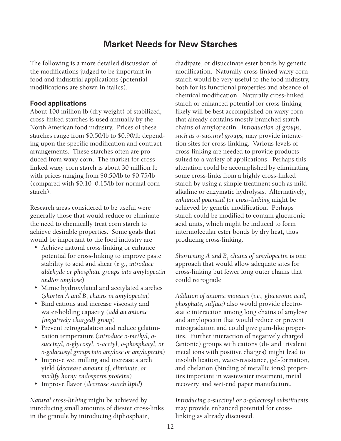## **Market Needs for New Starches**

The following is a more detailed discussion of the modifications judged to be important in food and industrial applications (potential modifications are shown in italics).

#### **Food applications**

About 100 million lb (dry weight) of stabilized, cross-linked starches is used annually by the North American food industry. Prices of these starches range from \$0.50/lb to \$0.90/lb depending upon the specific modification and contract arrangements. These starches often are produced from waxy corn. The market for crosslinked waxy corn starch is about 30 million lb with prices ranging from \$0.50/lb to \$0.75/lb (compared with \$0.10–0.15/lb for normal corn starch).

Research areas considered to be useful were generally those that would reduce or eliminate the need to chemically treat corn starch to achieve desirable properties. Some goals that would be important to the food industry are

- Achieve natural cross-linking or enhance potential for cross-linking to improve paste stability to acid and shear (*e.g., introduce aldehyde or phosphate groups into amylopectin and/or amylose*)
- Mimic hydroxylated and acetylated starches (*shorten A and B1 chains in amylopectin*)
- Bind cations and increase viscosity and water-holding capacity (*add an anionic [negatively charged] group*)
- Prevent retrogradation and reduce gelatinization temperature (*introduce o-methyl, osuccinyl, o-glycosyl, o-acetyl, o-phosphatyl, or o-galactosyl groups into amylose or amylopectin*)
- Improve wet milling and increase starch yield (*decrease amount of, eliminate, or modify horny endosperm proteins*)
- Improve flavor (*decrease starch lipid*)

*Natural cross-linking* might be achieved by introducing small amounts of diester cross-links in the granule by introducing diphosphate,

diadipate, or disuccinate ester bonds by genetic modification. Naturally cross-linked waxy corn starch would be very useful to the food industry, both for its functional properties and absence of chemical modification. Naturally cross-linked starch or enhanced potential for cross-linking likely will be best accomplished on waxy corn that already contains mostly branched starch chains of amylopectin. *Introduction of groups, such as o-succinyl groups,* may provide interaction sites for cross-linking. Various levels of cross-linking are needed to provide products suited to a variety of applications. Perhaps this alteration could be accomplished by eliminating some cross-links from a highly cross-linked starch by using a simple treatment such as mild alkaline or enzymatic hydrolysis. Alternatively*, enhanced potential for cross-linking* might be achieved by genetic modification. Perhaps starch could be modified to contain glucuronic acid units, which might be induced to form intermolecular ester bonds by dry heat, thus producing cross-linking.

 $\mathcal S$ hortening  $A$  and  $B_{_1}$  chains of amylopectin is one approach that would allow adequate sites for cross-linking but fewer long outer chains that could retrograde.

*Addition of anionic moieties (i.e., glucuronic acid, phosphate, sulfate)* also would provide electrostatic interaction among long chains of amylose and amylopectin that would reduce or prevent retrogradation and could give gum-like properties. Further interaction of negatively charged (anionic) groups with cations (di- and trivalent metal ions with positive charges) might lead to insolubilization, water-resistance, gel-formation, and chelation (binding of metallic ions) properties important in wastewater treatment, metal recovery, and wet-end paper manufacture.

*Introducing o-succinyl or o-galactosyl substituents* may provide enhanced potential for crosslinking as already discussed.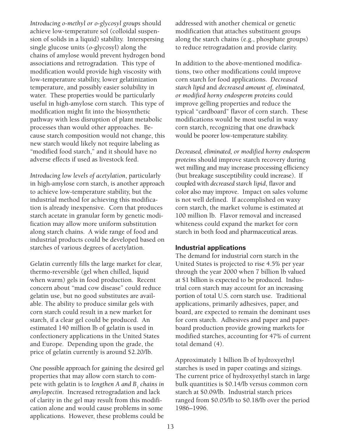*Introducing o-methyl or o-glycosyl groups* should achieve low-temperature sol (colloidal suspension of solids in a liquid) stability. Interspersing single glucose units (*o*-glycosyl) along the chains of amylose would prevent hydrogen bond associations and retrogradation. This type of modification would provide high viscosity with low-temperature stability, lower gelatinization temperature, and possibly easier solubility in water. These properties would be particularly useful in high-amylose corn starch. This type of modification might fit into the biosynthetic pathway with less disruption of plant metabolic processes than would other approaches. Because starch composition would not change, this new starch would likely not require labeling as "modified food starch," and it should have no adverse effects if used as livestock feed.

*Introducing low levels of acetylation*, particularly in high-amylose corn starch, is another approach to achieve low-temperature stability, but the industrial method for achieving this modification is already inexpensive. Corn that produces starch acetate in granular form by genetic modification may allow more uniform substitution along starch chains. A wide range of food and industrial products could be developed based on starches of various degrees of acetylation.

Gelatin currently fills the large market for clear, thermo-reversible (gel when chilled, liquid when warm) gels in food production. Recent concern about "mad cow disease" could reduce gelatin use, but no good substitutes are available. The ability to produce similar gels with corn starch could result in a new market for starch, if a clear gel could be produced. An estimated 140 million lb of gelatin is used in confectionery applications in the United States and Europe. Depending upon the grade, the price of gelatin currently is around \$2.20/lb.

One possible approach for gaining the desired gel properties that may allow corn starch to compete with gelatin is to *lengthen A and B1 chains in amylopectin*. Increased retrogradation and lack of clarity in the gel may result from this modification alone and would cause problems in some applications. However, these problems could be

addressed with another chemical or genetic modification that attaches substituent groups along the starch chains (e.g., phosphate groups) to reduce retrogradation and provide clarity.

In addition to the above-mentioned modifications, two other modifications could improve corn starch for food applications. *Decreased starch lipid* and *decreased amount of, eliminated, or modified horny endosperm proteins* could improve gelling properties and reduce the typical "cardboard" flavor of corn starch. These modifications would be most useful in waxy corn starch, recognizing that one drawback would be poorer low-temperature stability.

*Decreased, eliminated, or modified horny endosperm proteins* should improve starch recovery during wet milling and may increase processing efficiency (but breakage susceptibility could increase). If coupled with *decreased starch lipid*, flavor and color also may improve. Impact on sales volume is not well defined. If accomplished on waxy corn starch, the market volume is estimated at 100 million lb. Flavor removal and increased whiteness could expand the market for corn starch in both food and pharmaceutical areas.

#### **Industrial applications**

The demand for industrial corn starch in the United States is projected to rise 4.5% per year through the year 2000 when 7 billion lb valued at \$1 billion is expected to be produced. Industrial corn starch may account for an increasing portion of total U.S. corn starch use. Traditional applications, primarily adhesives, paper, and board, are expected to remain the dominant uses for corn starch. Adhesives and paper and paperboard production provide growing markets for modified starches, accounting for 47% of current total demand (4).

Approximately 1 billion lb of hydroxyethyl starches is used in paper coatings and sizings. The current price of hydroxyethyl starch in large bulk quantities is \$0.14/lb versus common corn starch at \$0.09/lb. Industrial starch prices ranged from \$0.05/lb to \$0.18/lb over the period 1986–1996.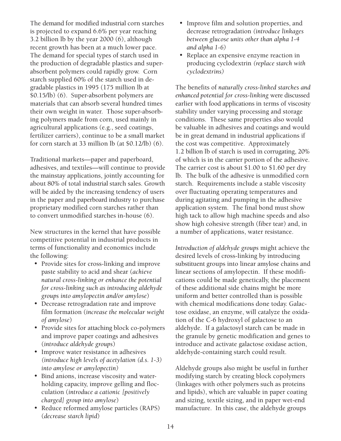The demand for modified industrial corn starches is projected to expand 6.6% per year reaching 3.2 billion lb by the year 2000 (6), although recent growth has been at a much lower pace. The demand for special types of starch used in the production of degradable plastics and superabsorbent polymers could rapidly grow. Corn starch supplied 60% of the starch used in degradable plastics in 1995 (175 million lb at \$0.15/lb) (6). Super-absorbent polymers are materials that can absorb several hundred times their own weight in water. Those super-absorbing polymers made from corn, used mainly in agricultural applications (e.g., seed coatings, fertilizer carriers), continue to be a small market for corn starch at 33 million lb (at \$0.12/lb) (6).

Traditional markets—paper and paperboard, adhesives, and textiles—will continue to provide the mainstay applications, jointly accounting for about 80% of total industrial starch sales. Growth will be aided by the increasing tendency of users in the paper and paperboard industry to purchase proprietary modified corn starches rather than to convert unmodified starches in-house (6).

New structures in the kernel that have possible competitive potential in industrial products in terms of functionality and economics include the following:

- Provide sites for cross-linking and improve paste stability to acid and shear (*achieve natural cross-linking or enhance the potential for cross-linking such as introducing aldehyde groups into amylopectin and/or amylose*)
- Decrease retrogradation rate and improve film formation (*increase the molecular weight of amylose*)
- Provide sites for attaching block co-polymers and improve paper coatings and adhesives (*introduce aldehyde groups*)
- Improve water resistance in adhesives *(introduce high levels of acetylation (d.s. 1-3) into amylose or amylopectin)*
- Bind anions, increase viscosity and waterholding capacity, improve gelling and flocculation (*introduce a cationic [positively charged] group into amylose*)
- Reduce reformed amylose particles (RAPS) (*decrease starch lipid*)
- Improve film and solution properties, and decrease retrogradation *(introduce linkages between glucose units other than alpha 1-4 and alpha 1-6)*
- Replace an expensive enzyme reaction in producing cyclodextrin *(replace starch with cyclodextrins)*

The benefits of *naturally cross-linked starches and enhanced potential for cross-linking* were discussed earlier with food applications in terms of viscosity stability under varying processing and storage conditions. These same properties also would be valuable in adhesives and coatings and would be in great demand in industrial applications if the cost was competitive. Approximately 1.2␣ billion lb of starch is used in corrugating, 20% of which is in the carrier portion of the adhesive. The carrier cost is about \$1.00 to \$1.60 per dry lb. The bulk of the adhesive is unmodified corn starch. Requirements include a stable viscosity over fluctuating operating temperatures and during agitating and pumping in the adhesive application system. The final bond must show high tack to allow high machine speeds and also show high cohesive strength (fiber tear) and, in a number of applications, water resistance.

*Introduction of aldehyde groups* might achieve the desired levels of cross-linking by introducing substituent groups into linear amylose chains and linear sections of amylopectin. If these modifications could be made genetically, the placement of these additional side chains might be more uniform and better controlled than is possible with chemical modifications done today. Galactose oxidase, an enzyme, will catalyze the oxidation of the C-6 hydroxyl of galactose to an aldehyde. If a galactosyl starch can be made in the granule by genetic modification and genes to introduce and activate galactose oxidase action, aldehyde-containing starch could result.

Aldehyde groups also might be useful in further modifying starch by creating block copolymers (linkages with other polymers such as proteins and lipids), which are valuable in paper coating and sizing, textile sizing, and in paper wet-end manufacture. In this case, the aldehyde groups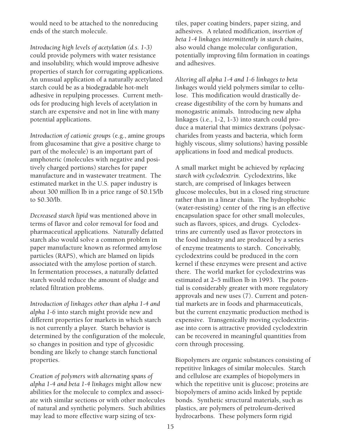would need to be attached to the nonreducing ends of the starch molecule.

*Introducing high levels of acetylation (d.s. 1-3)* could provide polymers with water resistance and insolubility, which would improve adhesive properties of starch for corrugating applications. An unusual application of a naturally acetylated starch could be as a biodegradable hot-melt adhesive in repulping processes. Current methods for producing high levels of acetylation in starch are expensive and not in line with many potential applications.

*Introduction of cationic groups* (e.g., amine groups from glucosamine that give a positive charge to part of the molecule) is an important part of amphoteric (molecules with negative and positively charged portions) starches for paper manufacture and in wastewater treatment. The estimated market in the U.S. paper industry is about 300 million lb in a price range of \$0.15/lb to \$0.30/lb.

*Decreased starch lipid* was mentioned above in terms of flavor and color removal for food and pharmaceutical applications. Naturally defatted starch also would solve a common problem in paper manufacture known as reformed amylose particles (RAPS), which are blamed on lipids associated with the amylose portion of starch. In fermentation processes, a naturally defatted starch would reduce the amount of sludge and related filtration problems.

*Introduction of linkages other than alpha 1-4 and alpha 1-6* into starch might provide new and different properties for markets in which starch is not currently a player. Starch behavior is determined by the configuration of the molecule, so changes in position and type of glycosidic bonding are likely to change starch functional properties.

*Creation of polymers with alternating spans of alpha 1-4 and beta 1-4 linkages* might allow new abilities for the molecule to complex and associate with similar sections or with other molecules of natural and synthetic polymers. Such abilities may lead to more effective warp sizing of textiles, paper coating binders, paper sizing, and adhesives. A related modification, *insertion of beta 1-4 linkages intermittently in starch chains*, also would change molecular configuration, potentially improving film formation in coatings and adhesives.

*Altering all alpha 1-4 and 1-6 linkages to beta linkages* would yield polymers similar to cellulose. This modification would drastically decrease digestibility of the corn by humans and monogastric animals. Introducing new alpha linkages (i.e., 1-2, 1-3) into starch could produce a material that mimics dextrans (polysaccharides from yeasts and bacteria, which form highly viscous, slimy solutions) having possible applications in food and medical products.

A small market might be achieved by *replacing starch with cyclodextrin.* Cyclodextrins, like starch, are comprised of linkages between glucose molecules, but in a closed ring structure rather than in a linear chain. The hydrophobic (water-resisting) center of the ring is an effective encapsulation space for other small molecules, such as flavors, spices, and drugs. Cyclodextrins are currently used as flavor protectors in the food industry and are produced by a series of enzyme treatments to starch. Conceivably, cyclodextrins could be produced in the corn kernel if these enzymes were present and active there. The world market for cyclodextrins was estimated at 2–5 million lb in 1993. The potential is considerably greater with more regulatory approvals and new uses (7). Current and potential markets are in foods and pharmaceuticals, but the current enzymatic production method is expensive. Transgenically moving cyclodextrinase into corn is attractive provided cyclodextrin can be recovered in meaningful quantities from corn through processing.

Biopolymers are organic substances consisting of repetitive linkages of similar molecules. Starch and cellulose are examples of biopolymers in which the repetitive unit is glucose; proteins are biopolymers of amino acids linked by peptide bonds. Synthetic structural materials, such as plastics, are polymers of petroleum-derived hydrocarbons. These polymers form rigid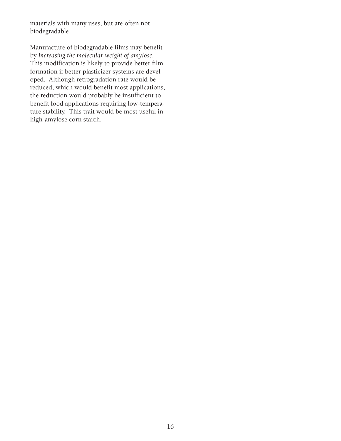materials with many uses, but are often not biodegradable.

Manufacture of biodegradable films may benefit by *increasing the molecular weight of amylose.* This modification is likely to provide better film formation if better plasticizer systems are developed. Although retrogradation rate would be reduced, which would benefit most applications, the reduction would probably be insufficient to benefit food applications requiring low-temperature stability. This trait would be most useful in high-amylose corn starch.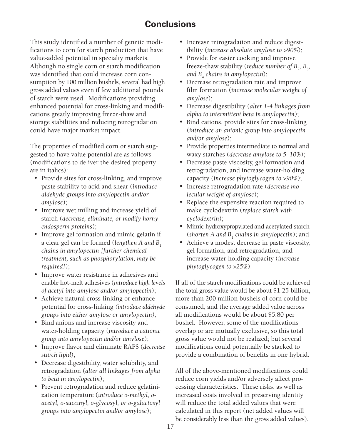## **Conclusions**

This study identified a number of genetic modifications to corn for starch production that have value-added potential in specialty markets. Although no single corn or starch modification was identified that could increase corn consumption by 100 million bushels, several had high gross added values even if few additional pounds of starch were used. Modifications providing enhanced potential for cross-linking and modifications greatly improving freeze-thaw and storage stabilities and reducing retrogradation could have major market impact.

The properties of modified corn or starch suggested to have value potential are as follows (modifications to deliver the desired property are in italics):

- Provide sites for cross-linking, and improve paste stability to acid and shear (*introduce aldehyde groups into amylopectin and/or amylose*);
- Improve wet milling and increase yield of starch (*decrease, eliminate, or modify horny endosperm proteins*);
- Improve gel formation and mimic gelatin if a clear gel can be formed (*lengthen A and B1 chains in amylopectin [further chemical treatment, such as phosphorylation, may be required])*;
- Improve water resistance in adhesives and enable hot-melt adhesives (*introduce high levels of acetyl into amylose and/or amylopectin*);
- Achieve natural cross-linking or enhance potential for cross-linking *(introduce aldehyde groups into either amylose or amylopectin);*
- Bind anions and increase viscosity and water-holding capacity (*introduce a cationic group into amylopectin and/or amylose*);
- Improve flavor and eliminate RAPS (*decrease starch lipid*);
- Decrease digestibility, water solubility, and retrogradation (*alter all linkages from alpha to beta in amylopectin*);
- Prevent retrogradation and reduce gelatinization temperature (*introduce o-methyl, oacetyl, o-succinyl, o-glycosyl, or o-galactosyl groups into amylopectin and/or amylose*);
- Increase retrogradation and reduce digestibility (*increase absolute amylose to >90%*);
- Provide for easier cooking and improve freeze-thaw stability (*reduce number of*  $B_{2}$ ,  $B_{3}$ , *and B4 chains in amylopectin*);
- Decrease retrogradation rate and improve film formation (*increase molecular weight of amylose*);
- Decrease digestibility (*alter 1-4 linkages from alpha to intermittent beta in amylopectin*);
- Bind cations, provide sites for cross-linking (*introduce an anionic group into amylopectin and/or amylose*);
- Provide properties intermediate to normal and waxy starches (*decrease amylose to 5–10%*);
- Decrease paste viscosity, gel formation and retrogradation, and increase water-holding capacity (*increase phytoglycogen to >90%*);
- Increase retrogradation rate (*decrease molecular weight of amylose*);
- Replace the expensive reaction required to make cyclodextrin (*replace starch with cyclodextrin*);
- Mimic hydroxypropylated and acetylated starch (*shorten A and B1 chains in amylopectin*); and
- Achieve a modest decrease in paste viscosity, gel formation, and retrogradation, and increase water-holding capacity (*increase phytoglycogen to >25%*).

If all of the starch modifications could be achieved the total gross value would be about \$1.25 billion, more than 200 million bushels of corn could be consumed, and the average added value across all modifications would be about \$5.80 per bushel. However, some of the modifications overlap or are mutually exclusive, so this total gross value would not be realized; but several modifications could potentially be stacked to provide a combination of benefits in one hybrid.

All of the above-mentioned modifications could reduce corn yields and/or adversely affect processing characteristics. These risks, as well as increased costs involved in preserving identity will reduce the total added values that were calculated in this report (net added values will be considerably less than the gross added values).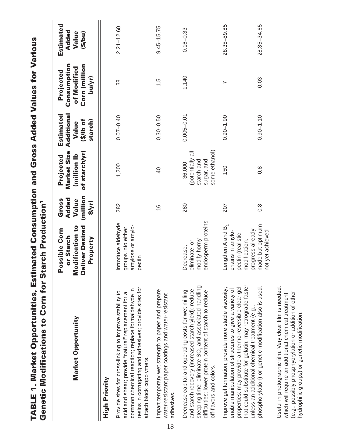| Estimated Consumption and Gross Added Values for Vario | Starch Productio |
|--------------------------------------------------------|------------------|
|                                                        | u,<br>h          |
| Ì                                                      | ations to Con.   |
| O<br>T<br><b>Marke</b>                                 | ڈا               |
| TABLE 1. N                                             | eneti            |

| Market Opportunity                                                                                                                                                                                                                                                                     | Modification to<br>Deliver<br>Desired<br>ossible Corn<br>or Starch<br>Property<br>Q,            | (million<br>Added<br>Gross<br>Value<br>$\frac{1}{2}$ | Market Size<br>of starch/yr)<br>(million Ib<br>Projected                | Additional<br>Estimated<br>$10$ of $(4)$<br>starch)<br>Value | Consumption<br>Corn (million<br>of Modified<br>Projected<br>bu/yr) | Estimated<br>Added<br>Value<br>(5/6u) |
|----------------------------------------------------------------------------------------------------------------------------------------------------------------------------------------------------------------------------------------------------------------------------------------|-------------------------------------------------------------------------------------------------|------------------------------------------------------|-------------------------------------------------------------------------|--------------------------------------------------------------|--------------------------------------------------------------------|---------------------------------------|
| High Priority                                                                                                                                                                                                                                                                          |                                                                                                 |                                                      |                                                                         |                                                              |                                                                    |                                       |
| resins in corrugating and adhesives; provide sites for<br>common chemical reaction; replace formaldehyde in<br>Provide sites for cross-linking to improve stability to<br>acid and shear; provide "natural" replacement for a<br>attach block copolymers.                              | Introduce aldehyde<br>amylose or amylo-<br>groups into either<br>pectin                         | 282                                                  | 1,200                                                                   | $0.07 - 0.40$                                                | 38                                                                 | $2.21 - 12.60$                        |
| Impart temporary wet strength to paper and prepare<br>water-resistant paper coatings and water-resistant<br>adhesives.                                                                                                                                                                 |                                                                                                 | $\frac{6}{1}$                                        | $\overline{4}$                                                          | $0.30 - 0.50$                                                | $\frac{5}{1}$                                                      | $9.45 - 15.75$                        |
| steeping time; eliminate SO <sub>2</sub> and associated handling<br>and starch recovery (increased starch yield); reduce<br>Decrease capital and operating costs for wet milling<br>difficulties; lower protein content of starch to reduce<br>off-flavors and colors.                 | endosperm proteins<br>modify horny<br>eliminate, or<br>Decrease,                                | 280                                                  | some ethanol)<br>(potentially all<br>sugar, and<br>starch and<br>36,000 | $0.005 - 0.01$                                               | 1,140                                                              | $0.16 - 0.33$                         |
| that could substitute for gelatin; may retrograde faster<br>properties; may provide a thermo-reversible clear gel<br>Improve gel formation; provide more stable viscosity;<br>enable manipulation of structures to give a variety of<br>unless an additional chemical treatment (e.g., | Lengthen A and B,<br>progress already<br>chains in amylo-<br>pectin (realistic<br>modification, | 207                                                  | 150                                                                     | $0.90 - 1.90$                                                | ∼                                                                  | $28.35 - 59.85$                       |
| phosphorylation) or genetic modification also is used.                                                                                                                                                                                                                                 | made but optimum<br>not yet achieved                                                            | $\frac{8}{2}$                                        | $\frac{8}{2}$                                                           | $0.90 - 1.10$                                                | 0.03                                                               | 28.35-34.65                           |
| Useful in photographic film. Very clear film is needed,<br>(e.g., possibly phosphyorylation or addition of other<br>which will require an additional chemical treatment<br>hydrophilic groups) or genetic modification.                                                                |                                                                                                 |                                                      |                                                                         |                                                              |                                                                    |                                       |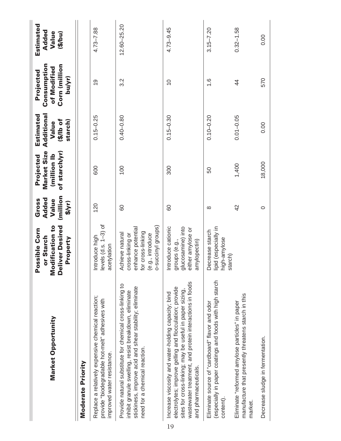| Market Opportunity                                                                                                                                                                                                                                           | <b>Modification to</b><br>eliver<br>Desired<br>ossible Corn<br>or Starch<br>Property<br>Δ.<br>ă                     | (million<br>Added<br>Gross<br>Value<br>$\frac{1}{2}$ | Market Size<br>of starch/yr)<br>(million Ib<br>Projected | Estimated<br>Additional<br>$10$ of $(11)$<br>starch)<br>Value | Consumption<br>Corn (million<br>of Modified<br>Projected<br>bu/yr) | Estimated<br>Added<br>Value<br>(5/6u) |
|--------------------------------------------------------------------------------------------------------------------------------------------------------------------------------------------------------------------------------------------------------------|---------------------------------------------------------------------------------------------------------------------|------------------------------------------------------|----------------------------------------------------------|---------------------------------------------------------------|--------------------------------------------------------------------|---------------------------------------|
| Moderate Priority                                                                                                                                                                                                                                            |                                                                                                                     |                                                      |                                                          |                                                               |                                                                    |                                       |
| Replace a relatively expensive chemical reaction;<br>provide "biodegradable hot-melt" adhesives with<br>improved water resistance.                                                                                                                           | evels $(d.s. 1-3)$ of<br>ntroduce high<br>acetylation                                                               | 120                                                  | 600                                                      | $0.15 - 0.25$                                                 | $\overline{0}$                                                     | $4.73 - 7.88$                         |
| Provide natural substitute for chemical cross-linking to<br>stickiness, improve acid and shear stability; eliminate<br>inhibit granule swelling, resist breakdown, eliminate<br>need for a chemical reaction.                                                | o-succinyl groups)<br>enhance potential<br>for cross-linking<br>Achieve natural<br>prishilipss-<br>(e.g., introduce | 80                                                   | 100                                                      | $0.40 - 0.80$                                                 | 3.2                                                                | $12.60 - 25.20$                       |
| wastewater treatment, and protein interactions in foods<br>electrolytes; improve gelling and flocculation; provide<br>sites for cross-linking; may be useful in paper sizing,<br>Increase viscosity and water-holding capacity; bind<br>and pharmaceuticals. | ntroduce cationic<br>glucosamine) into<br>either amylose or<br>groups (e.g.,<br>amylopectin)                        | 80                                                   | 300                                                      | $0.15 - 0.30$                                                 | $\frac{0}{1}$                                                      | $4.73 - 9.45$                         |
| (especially in paper coatings and foods with high starch<br>Eliminate source of "cardboard" flavor and odor<br>content)                                                                                                                                      | ipid (especially in<br>Decrease starch<br>nigh-amylose<br>starch)                                                   | $\infty$                                             | 50                                                       | $0.10 - 0.20$                                                 | $\frac{6}{1}$                                                      | $3.15 - 7.20$                         |
| manufacture that presently threatens starch in this<br>Eliminate "reformed amylose particles" in paper<br>market.                                                                                                                                            |                                                                                                                     | 42                                                   | 1,400                                                    | $0.01 - 0.05$                                                 | $\frac{4}{4}$                                                      | $0.32 - 1.58$                         |
| Decrease sludge in fermentation.                                                                                                                                                                                                                             |                                                                                                                     | $\circ$                                              | 18,000                                                   | 0.00                                                          | 570                                                                | 0.00                                  |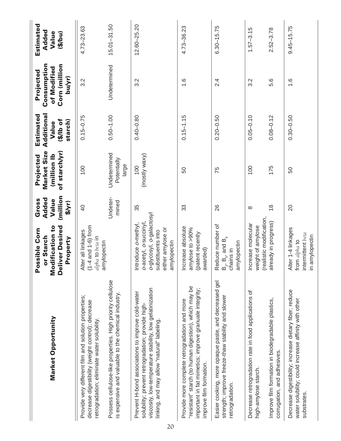| Market Opportunity                                                                                                                                                                                               | Modification to<br><b>Deliver Desired</b><br>Possible Corn<br>or Starch<br>Property                                             | (million<br>Added<br>Value<br>Gross<br>$\frac{1}{2}$ | Market Size<br>of starch/yr)<br>(million Ib<br>Projected | Additional<br>Estimated<br><b>10 qil\$)</b><br>starch)<br>Value | Consumption<br>Corn (million<br>of Modified<br>Projected<br>bu/yr) | Estimated<br>Added<br>Value<br>(5/bu) |
|------------------------------------------------------------------------------------------------------------------------------------------------------------------------------------------------------------------|---------------------------------------------------------------------------------------------------------------------------------|------------------------------------------------------|----------------------------------------------------------|-----------------------------------------------------------------|--------------------------------------------------------------------|---------------------------------------|
| Provide very different film and solution properties;<br>decrease digestibility (weight control); decrease<br>retrogradation; eliminate water solubility.                                                         | 1-4 and 1-6) from<br>Alter all linkages<br>alpha to beta in<br>amylopectin                                                      | $\overline{4}$                                       | 100                                                      | $0.15 - 0.75$                                                   | 3.2                                                                | 4.73-23.63                            |
| Possess cellulose-like properties. High priority cellulose<br>is expensive and valuable to the chemical industry.                                                                                                |                                                                                                                                 | Undeter-<br>mined                                    | Undetermined<br>Potentially<br>large                     | $0.50 - 1.00$                                                   | Undetermined                                                       | $15.01 - 31.50$                       |
| viscosity, low-temperature stability, low gelatinization<br>Prevent H-bond associations to improve cold-water<br>solubility; prevent retrogradation; provide high-<br>linking, and may allow "natural" labeling. | o-glycosyl, o-galactosyl<br>ntroduce o-methyl,<br>b-acetyl, o-succinyl<br>either amylose or<br>substituents into<br>amylopectin | 35                                                   | (mostly waxy)<br>100                                     | $0.40 - 0.80$                                                   | 3.2                                                                | $12.60 - 25.20$                       |
| "resistant" starch (to human digestion), which may be<br>important in fat mimetics; improve granuale integrity;<br>Provide more complete retrogradation and more<br>improve film formation.                      | ncrease absolute<br>amylose to >90%<br>patent recently<br>awarded)                                                              | 33                                                   | 50                                                       | $0.15 - 1.15$                                                   | $\frac{6}{1}$                                                      | 4.73-36.23                            |
| Easier cooking, more opaque paste, and decreased gel<br>strength; improve freeze-thaw stability and slower<br>retrogradation.                                                                                    | Reduce number of<br>$B_2$ , $B_3$ , and $B_4$<br>chains in<br>amylopectin                                                       | 26                                                   | 75                                                       | $0.20 - 0.50$                                                   | 2.4                                                                | $6.30 - 15.75$                        |
| Decrease retrogradation rate in food applications of<br>high-amylose starch.                                                                                                                                     | realistic modification,<br>ncrease molecular<br>weight of amylose                                                               | $\infty$                                             | 100                                                      | $0.05 - 0.10$                                                   | 3.2                                                                | $1.57 - 3.15$                         |
| Improve film formation in biodegradable plastics,<br>corrugation, and adhesives.                                                                                                                                 | already in progress)                                                                                                            | $\frac{8}{1}$                                        | 175                                                      | $0.08 - 0.12$                                                   | 5.6                                                                | $2.52 - 3.78$                         |
| Decrease digestibility; increase dietary fiber; reduce<br>water solubility; could increase affinity with other<br>substrates.                                                                                    | Alter 1-4 linkages<br>ntermittent beta<br>n amylopectin<br>rom alpha to                                                         | 20                                                   | 50                                                       | $0.30 - 0.50$                                                   | $\frac{6}{1}$                                                      | $9.45 - 15.75$                        |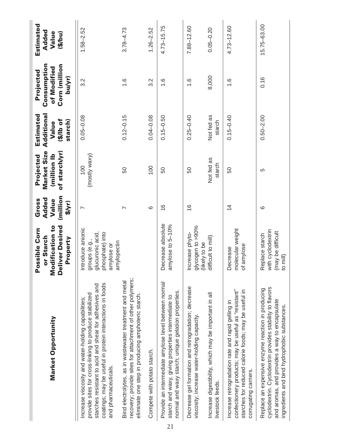|    | Market Opportunity                                                                                                                                                                                                                                        | <b>Modification to</b><br>Deliver<br>Desired<br>ossible Corn<br>or Starch<br>Property<br><u>a</u>      | (million<br>Added<br>Gross<br>Value<br>S/yr) | Market Size<br>of starch/yr)<br>(million Ib<br>Projected | Estimated<br>Additional<br>$10$ of $(1/3)$<br>starch)<br>Value | Consumption<br>Corn (million<br>of Modified<br>Projected<br>bu/yr) | Estimated<br>Added<br>Value<br>(5/6u) |
|----|-----------------------------------------------------------------------------------------------------------------------------------------------------------------------------------------------------------------------------------------------------------|--------------------------------------------------------------------------------------------------------|----------------------------------------------|----------------------------------------------------------|----------------------------------------------------------------|--------------------------------------------------------------------|---------------------------------------|
|    | coatings; may be useful in protein interactions in foods<br>starches resistant to acid and shear for adhesives and<br>provide sites for cross-linking to produce stabilized<br>Increase viscosity and water-holding capabilities;<br>and pharmaceuticals. | Introduce anionic<br>ohosphate) into<br>glucuronic acid,<br>groups (e.g.,<br>amylopectin<br>amylose or | $\overline{ }$                               | (mostly waxy)<br>100                                     | $0.05 - 0.08$                                                  | 3.2                                                                | $1.58 - 2.52$                         |
|    | recovery; provide sites for attachment of other polymers;<br>Bind electrolytes, as in wastewater treatment and metal<br>eliminate one step in producing amphoteric starch.                                                                                |                                                                                                        | $\overline{ }$                               | 50                                                       | $0.12 - 0.15$                                                  | $\frac{6}{1}$                                                      | $3.78 - 4.73$                         |
|    | Compete with potato starch.                                                                                                                                                                                                                               |                                                                                                        | ဖ                                            | 100                                                      | $0.04 - 0.08$                                                  | 3.2                                                                | $1.26 - 2.52$                         |
| 21 | Provide an intermediate amylose level between normal<br>normal and waxy starch; unique gelation properties.<br>starch and waxy, giving properties intermediate to                                                                                         | Decrease absolute<br>amylose to 5-10%                                                                  | $\frac{6}{1}$                                | 50                                                       | $0.15 - 0.50$                                                  | $\frac{6}{1}$                                                      | $4.73 - 15.75$                        |
|    | Decrease gel formation and retrogradation; decrease<br>viscosity; increase water-holding capacity.                                                                                                                                                        | alycogen to >90%<br>Increase phyto-<br>(likely to be                                                   | $\frac{6}{1}$                                | 50                                                       | $0.25 - 0.40$                                                  | $\frac{6}{1}$                                                      | 7.88-12.60                            |
|    | Increase digestibility, which may be important in all<br>livestock feeds.                                                                                                                                                                                 | difficult to mill)                                                                                     |                                              | Not fed as<br>starch                                     | Not fed as<br>starch                                           | 8,000                                                              | $0.05 - 0.20$                         |
|    | confectionery products; may be useful as "resistant"<br>starches for reduced calorie foods; may be useful in<br>Increase retrogradation rate and rapid gelling in<br>corrugating carriers.                                                                | molecular weight<br>of amylose<br>Decrease                                                             | $\overline{4}$                               | 50                                                       | $0.15 - 0.40$                                                  | $\frac{6}{1}$                                                      | $4.73 - 12.60$                        |
|    | cyclodextrin. Cyclodextrin provides stability to flavors<br>Replace an expensive enzyme reaction in producing<br>and aromas, and provides a way to encapsulate<br>ingredients and bind hydrophobic substances.                                            | with cyclodextrin<br>(may be difficult<br>Replace starch<br>to mill)                                   | $\circ$                                      | 5                                                        | $0.50 - 2.00$                                                  | 0.16                                                               | 15.75-63.00                           |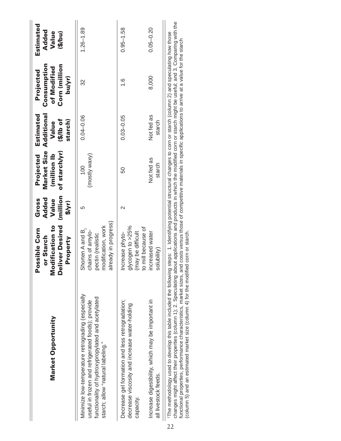| Market Opportunity                                                                                                                                                                                                                                                                                                                                                  | <b>Modification to</b><br>Deliver<br>Desired<br>Possible Corn<br>or Starch<br>Property                  | million<br>Added<br>Gross<br>Value<br>$\frac{1}{2}$ | Market Size<br>of starch/yr)<br>(million Ib<br>Projected | <b>Additional</b><br>Estimated<br>$10$ of $(1/3)$<br>starch)<br>Value | Consumption<br>Corn (million<br>of Modified<br>Projected<br>bu/yr) | Estimated<br>Added<br>Value<br>(5/bu) |
|---------------------------------------------------------------------------------------------------------------------------------------------------------------------------------------------------------------------------------------------------------------------------------------------------------------------------------------------------------------------|---------------------------------------------------------------------------------------------------------|-----------------------------------------------------|----------------------------------------------------------|-----------------------------------------------------------------------|--------------------------------------------------------------------|---------------------------------------|
| Minimize low-temperature retrograding (especially<br>functionality of hydroxypropylated and acetylated<br>useful in frozen and refrigerated foods); provide<br>starch; allow "natural labeling."                                                                                                                                                                    | already in progress)<br>modification, work<br>Shorten A and B,<br>chains of amylo-<br>pectin (realistic | 5                                                   | (mostly waxy)<br>100                                     | $0.04 - 0.06$                                                         | 32                                                                 | $1.26 - 1.89$                         |
| Decrease gel formation and less retrogradation;<br>decrease viscosity and increase water-holding<br>capacity.                                                                                                                                                                                                                                                       | glycogen to $>25\%$<br>to mill because of<br>(may be difficult<br>Increase phyto-                       | $\scriptstyle\sim$                                  | 50                                                       | $0.03 - 0.05$                                                         | $\frac{6}{1}$                                                      | $0.95 - 1.58$                         |
| Increase digestibility, which may be important in<br>all livestock feeds.                                                                                                                                                                                                                                                                                           | increased water<br>solubility)                                                                          |                                                     | Not fed as<br>starch                                     | Not fed as<br>starch                                                  | 8,000                                                              | $0.05 - 0.20$                         |
| changes might affect their properties (column 1); 2. Speculation the about applications and products in which the modified corn or starch might be useful; and 3. Comparing with the<br>The methodology used to develop this table included the following steps: 1. Identifying potential structural changes to corn or starch (column 2) and speculating how those |                                                                                                         |                                                     |                                                          | $\ddot{r}$                                                            |                                                                    |                                       |

functional properties, performance characteristics, market sizes, and costs versus those of competitive materials in specific applications to arrive at a value for the starch<br>(column 5) and an estimated market size (column functional properties, performance characteristics, market sizes, and costs versus those of competitive materials in specific applications to arrive at a value for the starch (column 5) and an estimated market size (column 4) for the modified corn or starch.  $\overline{\circ}$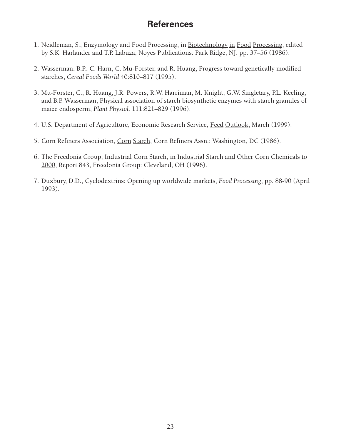## **References**

- 1. Neidleman, S., Enzymology and Food Processing, in Biotechnology in Food Processing, edited by S.K. Harlander and T.P. Labuza, Noyes Publications: Park Ridge, NJ, pp. 37–56 (1986).
- 2. Wasserman, B.P., C. Harn, C. Mu-Forster, and R. Huang, Progress toward genetically modified starches, *Cereal Foods World* 40:810–817 (1995).
- 3. Mu-Forster, C., R. Huang, J.R. Powers, R.W. Harriman, M. Knight, G.W. Singletary, P.L. Keeling, and B.P. Wasserman, Physical association of starch biosynthetic enzymes with starch granules of maize endosperm, *Plant Physiol.* 111:821–829 (1996).
- 4. U.S. Department of Agriculture, Economic Research Service, Feed Outlook, March (1999).
- 5. Corn Refiners Association, Corn Starch, Corn Refiners Assn.: Washington, DC (1986).
- 6. The Freedonia Group, Industrial Corn Starch, in Industrial Starch and Other Corn Chemicals to 2000, Report 843, Freedonia Group: Cleveland, OH (1996).
- 7. Duxbury, D.D., Cyclodextrins: Opening up worldwide markets, *Food Processing*, pp. 88-90 (April 1993).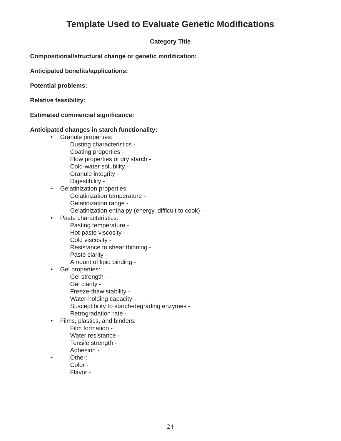## **Template Used to Evaluate Genetic Modifications**

### **Category Title**

**Compositional/structural change or genetic modification:**

**Anticipated benefits/applications:**

**Potential problems:**

**Relative feasibility:**

**Estimated commercial significance:**

#### **Anticipated changes in starch functionality:**

- Granule properties:
	- Dusting characteristics Coating properties - Flow properties of dry starch - Cold-water solubility - Granule integrity - Digestibility -
- Gelatinization properties: Gelatinization temperature - Gelatinization range - Gelatinization enthalpy (energy, difficult to cook) -
- Paste characteristics:
	- Pasting temperature Hot-paste viscosity - Cold viscosity - Resistance to shear thinning - Paste clarity - Amount of lipid binding -
- Gel properties:

Gel strength -

Gel clarity -

Freeze-thaw stability -

- Water-holding capacity -
- Susceptibility to starch-degrading enzymes -
- Retrogradation rate -
- Films, plastics, and binders:
	- Film formation Water resistance -
	- Tensile strength -
	- Adhesion -
- Other:
	- Color
		- Flavor -